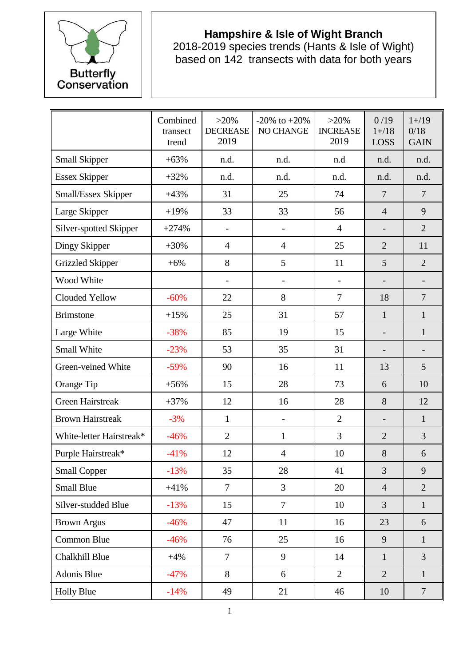

## **Hampshire & Isle of Wight Branch**

2018-2019 species trends (Hants & Isle of Wight) based on 142 transects with data for both years

|                          | Combined<br>transect<br>trend | $>20\%$<br><b>DECREASE</b><br>2019 | $-20\%$ to $+20\%$<br>NO CHANGE | $>20\%$<br><b>INCREASE</b><br>2019 | 0/19<br>$1 + / 18$<br>LOSS | $1 + / 19$<br>0/18<br><b>GAIN</b> |
|--------------------------|-------------------------------|------------------------------------|---------------------------------|------------------------------------|----------------------------|-----------------------------------|
| <b>Small Skipper</b>     | $+63%$                        | n.d.                               | n.d.                            | n.d                                | n.d.                       | n.d.                              |
| <b>Essex Skipper</b>     | $+32%$                        | n.d.                               | n.d.                            | n.d.                               | n.d.                       | n.d.                              |
| Small/Essex Skipper      | $+43%$                        | 31                                 | 25                              | 74                                 | $\overline{7}$             | $\overline{7}$                    |
| Large Skipper            | $+19%$                        | 33                                 | 33                              | 56                                 | $\overline{4}$             | 9                                 |
| Silver-spotted Skipper   | $+274%$                       |                                    | $\overline{\phantom{a}}$        | $\overline{4}$                     |                            | $\overline{2}$                    |
| Dingy Skipper            | $+30%$                        | 4                                  | $\overline{4}$                  | 25                                 | $\overline{2}$             | 11                                |
| <b>Grizzled Skipper</b>  | $+6%$                         | 8                                  | 5                               | 11                                 | 5                          | $\overline{2}$                    |
| Wood White               |                               |                                    | $\overline{\phantom{a}}$        | $\qquad \qquad -$                  |                            |                                   |
| Clouded Yellow           | $-60%$                        | 22                                 | 8                               | $\overline{7}$                     | 18                         | $\overline{7}$                    |
| <b>Brimstone</b>         | $+15%$                        | 25                                 | 31                              | 57                                 | $\mathbf{1}$               | $\mathbf{1}$                      |
| Large White              | $-38%$                        | 85                                 | 19                              | 15                                 |                            | $\mathbf{1}$                      |
| Small White              | $-23%$                        | 53                                 | 35                              | 31                                 |                            |                                   |
| Green-veined White       | $-59%$                        | 90                                 | 16                              | 11                                 | 13                         | 5                                 |
| Orange Tip               | $+56%$                        | 15                                 | 28                              | 73                                 | 6                          | 10                                |
| <b>Green Hairstreak</b>  | $+37%$                        | 12                                 | 16                              | 28                                 | 8                          | 12                                |
| <b>Brown Hairstreak</b>  | $-3%$                         | $\mathbf{1}$                       | $\overline{\phantom{a}}$        | $\overline{2}$                     |                            | $\mathbf{1}$                      |
| White-letter Hairstreak* | $-46%$                        | $\overline{2}$                     | $\mathbf{1}$                    | 3                                  | $\overline{2}$             | 3                                 |
| Purple Hairstreak*       | $-41%$                        | 12                                 | $\overline{4}$                  | 10                                 | 8                          | 6                                 |
| <b>Small Copper</b>      | $-13%$                        | 35                                 | 28                              | 41                                 | 3                          | 9                                 |
| <b>Small Blue</b>        | $+41%$                        | $\overline{7}$                     | 3                               | 20                                 | $\overline{4}$             | $\overline{2}$                    |
| Silver-studded Blue      | $-13%$                        | 15                                 | $\overline{7}$                  | 10                                 | 3                          | $\mathbf{1}$                      |
| <b>Brown Argus</b>       | $-46%$                        | 47                                 | 11                              | 16                                 | 23                         | 6                                 |
| Common Blue              | $-46%$                        | 76                                 | 25                              | 16                                 | 9                          | $\mathbf{1}$                      |
| Chalkhill Blue           | $+4%$                         | $\overline{7}$                     | 9                               | 14                                 | $\mathbf{1}$               | $\overline{3}$                    |
| Adonis Blue              | $-47%$                        | 8                                  | 6                               | $\overline{2}$                     | $\overline{2}$             | $\mathbf{1}$                      |
| <b>Holly Blue</b>        | $-14%$                        | 49                                 | 21                              | 46                                 | 10                         | $\overline{7}$                    |